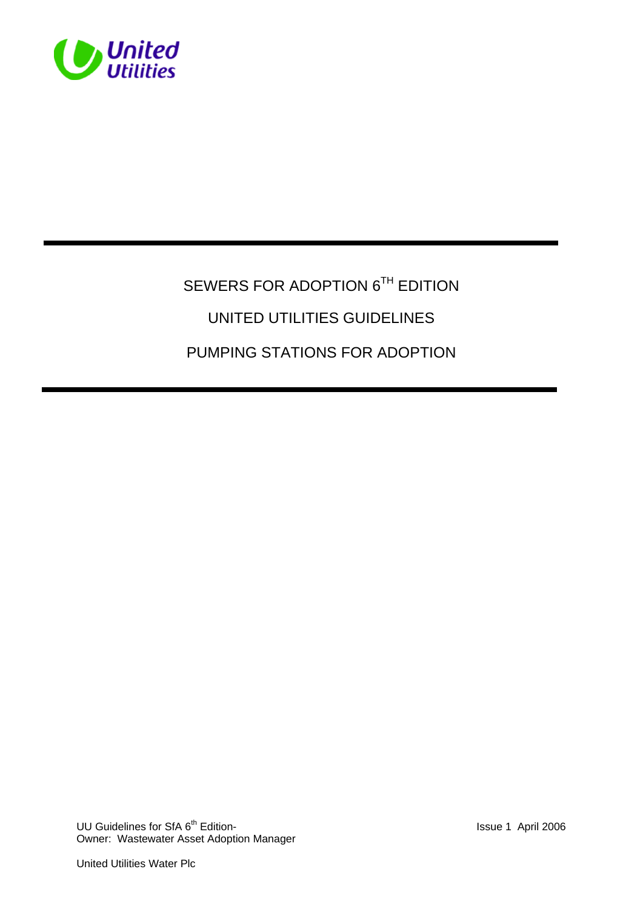

# SEWERS FOR ADOPTION 6TH EDITION UNITED UTILITIES GUIDELINES PUMPING STATIONS FOR ADOPTION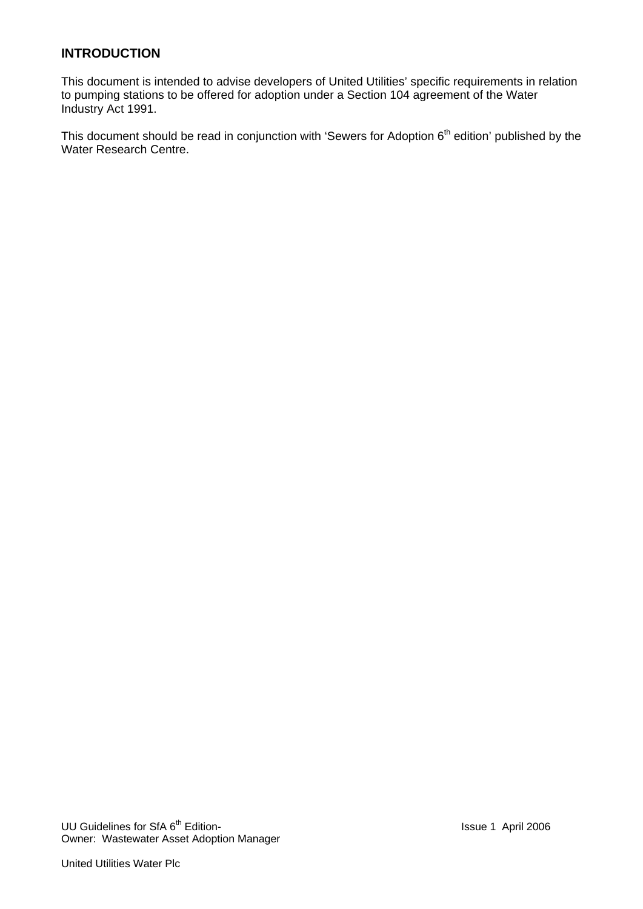# **INTRODUCTION**

This document is intended to advise developers of United Utilities' specific requirements in relation to pumping stations to be offered for adoption under a Section 104 agreement of the Water Industry Act 1991.

This document should be read in conjunction with 'Sewers for Adoption 6<sup>th</sup> edition' published by the Water Research Centre.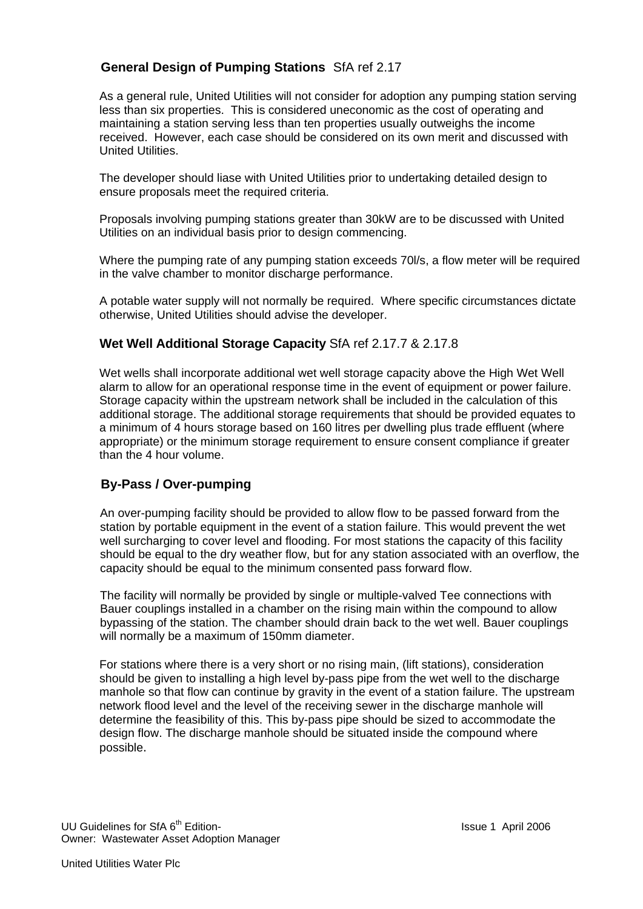# **General Design of Pumping Stations** SfA ref 2.17

As a general rule, United Utilities will not consider for adoption any pumping station serving less than six properties. This is considered uneconomic as the cost of operating and maintaining a station serving less than ten properties usually outweighs the income received. However, each case should be considered on its own merit and discussed with United Utilities.

The developer should liase with United Utilities prior to undertaking detailed design to ensure proposals meet the required criteria.

Proposals involving pumping stations greater than 30kW are to be discussed with United Utilities on an individual basis prior to design commencing.

 Where the pumping rate of any pumping station exceeds 70l/s, a flow meter will be required in the valve chamber to monitor discharge performance.

 A potable water supply will not normally be required. Where specific circumstances dictate otherwise, United Utilities should advise the developer.

#### **Wet Well Additional Storage Capacity** SfA ref 2.17.7 & 2.17.8

Wet wells shall incorporate additional wet well storage capacity above the High Wet Well alarm to allow for an operational response time in the event of equipment or power failure. Storage capacity within the upstream network shall be included in the calculation of this additional storage. The additional storage requirements that should be provided equates to a minimum of 4 hours storage based on 160 litres per dwelling plus trade effluent (where appropriate) or the minimum storage requirement to ensure consent compliance if greater than the 4 hour volume.

## **By-Pass / Over-pumping**

An over-pumping facility should be provided to allow flow to be passed forward from the station by portable equipment in the event of a station failure. This would prevent the wet well surcharging to cover level and flooding. For most stations the capacity of this facility should be equal to the dry weather flow, but for any station associated with an overflow, the capacity should be equal to the minimum consented pass forward flow.

The facility will normally be provided by single or multiple-valved Tee connections with Bauer couplings installed in a chamber on the rising main within the compound to allow bypassing of the station. The chamber should drain back to the wet well. Bauer couplings will normally be a maximum of 150mm diameter.

For stations where there is a very short or no rising main, (lift stations), consideration should be given to installing a high level by-pass pipe from the wet well to the discharge manhole so that flow can continue by gravity in the event of a station failure. The upstream network flood level and the level of the receiving sewer in the discharge manhole will determine the feasibility of this. This by-pass pipe should be sized to accommodate the design flow. The discharge manhole should be situated inside the compound where possible.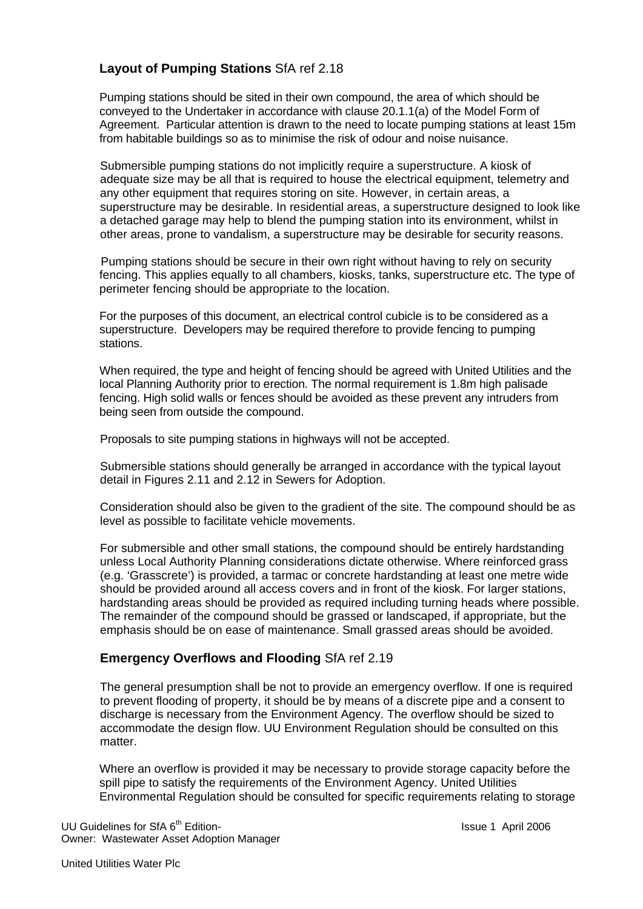# **Layout of Pumping Stations** SfA ref 2.18

Pumping stations should be sited in their own compound, the area of which should be conveyed to the Undertaker in accordance with clause 20.1.1(a) of the Model Form of Agreement. Particular attention is drawn to the need to locate pumping stations at least 15m from habitable buildings so as to minimise the risk of odour and noise nuisance.

Submersible pumping stations do not implicitly require a superstructure. A kiosk of adequate size may be all that is required to house the electrical equipment, telemetry and any other equipment that requires storing on site. However, in certain areas, a superstructure may be desirable. In residential areas, a superstructure designed to look like a detached garage may help to blend the pumping station into its environment, whilst in other areas, prone to vandalism, a superstructure may be desirable for security reasons.

 Pumping stations should be secure in their own right without having to rely on security fencing. This applies equally to all chambers, kiosks, tanks, superstructure etc. The type of perimeter fencing should be appropriate to the location.

 For the purposes of this document, an electrical control cubicle is to be considered as a superstructure. Developers may be required therefore to provide fencing to pumping stations.

 When required, the type and height of fencing should be agreed with United Utilities and the local Planning Authority prior to erection. The normal requirement is 1.8m high palisade fencing. High solid walls or fences should be avoided as these prevent any intruders from being seen from outside the compound.

Proposals to site pumping stations in highways will not be accepted.

Submersible stations should generally be arranged in accordance with the typical layout detail in Figures 2.11 and 2.12 in Sewers for Adoption.

Consideration should also be given to the gradient of the site. The compound should be as level as possible to facilitate vehicle movements.

For submersible and other small stations, the compound should be entirely hardstanding unless Local Authority Planning considerations dictate otherwise. Where reinforced grass (e.g. 'Grasscrete') is provided, a tarmac or concrete hardstanding at least one metre wide should be provided around all access covers and in front of the kiosk. For larger stations, hardstanding areas should be provided as required including turning heads where possible. The remainder of the compound should be grassed or landscaped, if appropriate, but the emphasis should be on ease of maintenance. Small grassed areas should be avoided.

## **Emergency Overflows and Flooding** SfA ref 2.19

The general presumption shall be not to provide an emergency overflow. If one is required to prevent flooding of property, it should be by means of a discrete pipe and a consent to discharge is necessary from the Environment Agency. The overflow should be sized to accommodate the design flow. UU Environment Regulation should be consulted on this matter.

Where an overflow is provided it may be necessary to provide storage capacity before the spill pipe to satisfy the requirements of the Environment Agency. United Utilities Environmental Regulation should be consulted for specific requirements relating to storage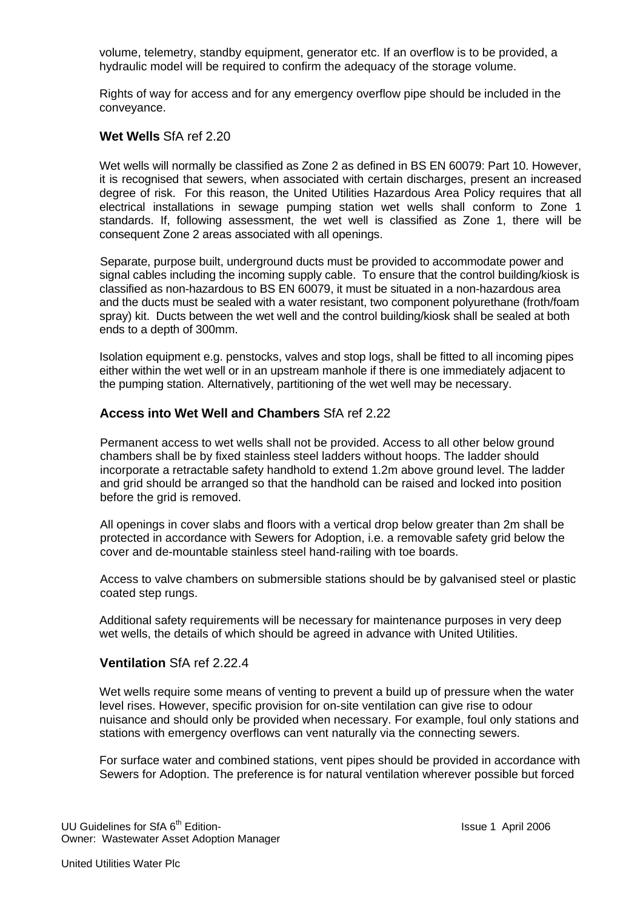volume, telemetry, standby equipment, generator etc. If an overflow is to be provided, a hydraulic model will be required to confirm the adequacy of the storage volume.

Rights of way for access and for any emergency overflow pipe should be included in the conveyance.

#### **Wet Wells** SfA ref 2.20

Wet wells will normally be classified as Zone 2 as defined in BS EN 60079: Part 10. However, it is recognised that sewers, when associated with certain discharges, present an increased degree of risk. For this reason, the United Utilities Hazardous Area Policy requires that all electrical installations in sewage pumping station wet wells shall conform to Zone 1 standards. If, following assessment, the wet well is classified as Zone 1, there will be consequent Zone 2 areas associated with all openings.

 Separate, purpose built, underground ducts must be provided to accommodate power and signal cables including the incoming supply cable. To ensure that the control building/kiosk is classified as non-hazardous to BS EN 60079, it must be situated in a non-hazardous area and the ducts must be sealed with a water resistant, two component polyurethane (froth/foam spray) kit. Ducts between the wet well and the control building/kiosk shall be sealed at both ends to a depth of 300mm.

 Isolation equipment e.g. penstocks, valves and stop logs, shall be fitted to all incoming pipes either within the wet well or in an upstream manhole if there is one immediately adjacent to the pumping station. Alternatively, partitioning of the wet well may be necessary.

#### **Access into Wet Well and Chambers** SfA ref 2.22

Permanent access to wet wells shall not be provided. Access to all other below ground chambers shall be by fixed stainless steel ladders without hoops. The ladder should incorporate a retractable safety handhold to extend 1.2m above ground level. The ladder and grid should be arranged so that the handhold can be raised and locked into position before the grid is removed.

All openings in cover slabs and floors with a vertical drop below greater than 2m shall be protected in accordance with Sewers for Adoption, i.e. a removable safety grid below the cover and de-mountable stainless steel hand-railing with toe boards.

Access to valve chambers on submersible stations should be by galvanised steel or plastic coated step rungs.

 Additional safety requirements will be necessary for maintenance purposes in very deep wet wells, the details of which should be agreed in advance with United Utilities.

#### **Ventilation** SfA ref 2.22.4

Wet wells require some means of venting to prevent a build up of pressure when the water level rises. However, specific provision for on-site ventilation can give rise to odour nuisance and should only be provided when necessary. For example, foul only stations and stations with emergency overflows can vent naturally via the connecting sewers.

For surface water and combined stations, vent pipes should be provided in accordance with Sewers for Adoption. The preference is for natural ventilation wherever possible but forced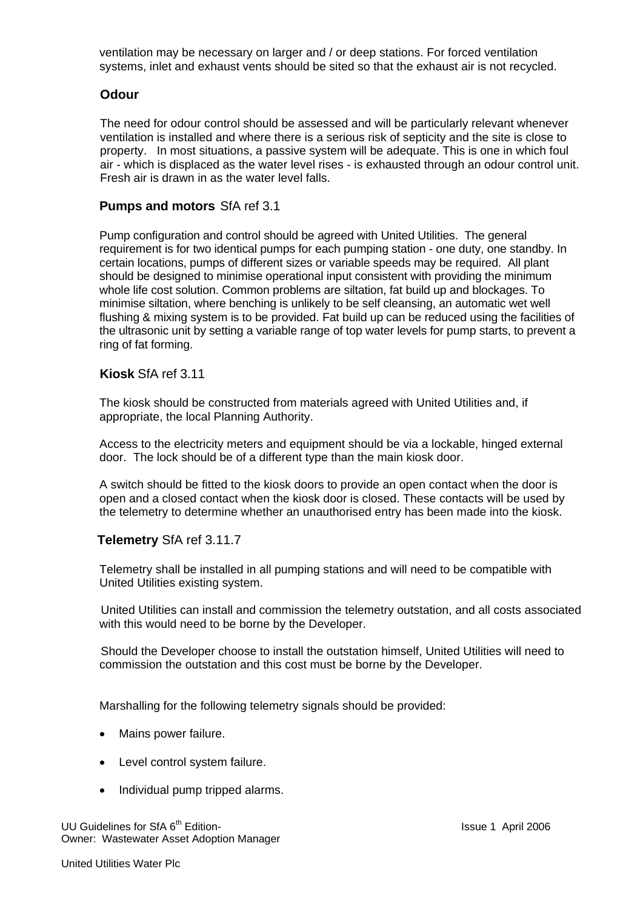ventilation may be necessary on larger and / or deep stations. For forced ventilation systems, inlet and exhaust vents should be sited so that the exhaust air is not recycled.

#### **Odour**

The need for odour control should be assessed and will be particularly relevant whenever ventilation is installed and where there is a serious risk of septicity and the site is close to property. In most situations, a passive system will be adequate. This is one in which foul air - which is displaced as the water level rises - is exhausted through an odour control unit. Fresh air is drawn in as the water level falls.

#### **Pumps and motors** SfA ref 3.1

Pump configuration and control should be agreed with United Utilities. The general requirement is for two identical pumps for each pumping station - one duty, one standby. In certain locations, pumps of different sizes or variable speeds may be required. All plant should be designed to minimise operational input consistent with providing the minimum whole life cost solution. Common problems are siltation, fat build up and blockages. To minimise siltation, where benching is unlikely to be self cleansing, an automatic wet well flushing & mixing system is to be provided. Fat build up can be reduced using the facilities of the ultrasonic unit by setting a variable range of top water levels for pump starts, to prevent a ring of fat forming.

#### **Kiosk** SfA ref 3.11

The kiosk should be constructed from materials agreed with United Utilities and, if appropriate, the local Planning Authority.

 Access to the electricity meters and equipment should be via a lockable, hinged external door. The lock should be of a different type than the main kiosk door.

 A switch should be fitted to the kiosk doors to provide an open contact when the door is open and a closed contact when the kiosk door is closed. These contacts will be used by the telemetry to determine whether an unauthorised entry has been made into the kiosk.

## **Telemetry** SfA ref 3.11.7

Telemetry shall be installed in all pumping stations and will need to be compatible with United Utilities existing system.

 United Utilities can install and commission the telemetry outstation, and all costs associated with this would need to be borne by the Developer.

 Should the Developer choose to install the outstation himself, United Utilities will need to commission the outstation and this cost must be borne by the Developer.

Marshalling for the following telemetry signals should be provided:

- Mains power failure.
- Level control system failure.
- Individual pump tripped alarms.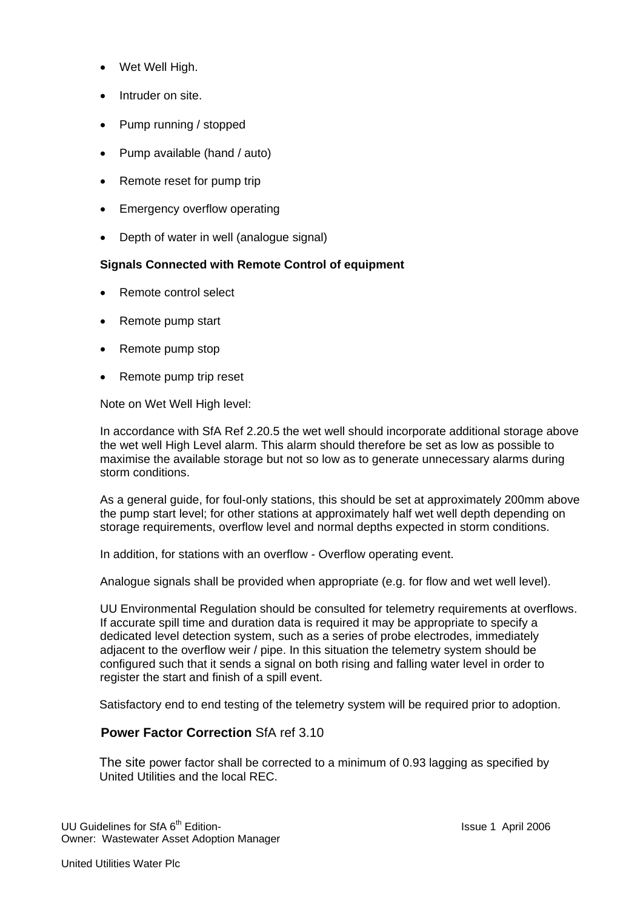- Wet Well High.
- Intruder on site.
- Pump running / stopped
- Pump available (hand / auto)
- Remote reset for pump trip
- Emergency overflow operating
- Depth of water in well (analogue signal)

#### **Signals Connected with Remote Control of equipment**

- Remote control select
- Remote pump start
- Remote pump stop
- Remote pump trip reset

Note on Wet Well High level:

In accordance with SfA Ref 2.20.5 the wet well should incorporate additional storage above the wet well High Level alarm. This alarm should therefore be set as low as possible to maximise the available storage but not so low as to generate unnecessary alarms during storm conditions.

As a general guide, for foul-only stations, this should be set at approximately 200mm above the pump start level; for other stations at approximately half wet well depth depending on storage requirements, overflow level and normal depths expected in storm conditions.

In addition, for stations with an overflow - Overflow operating event.

Analogue signals shall be provided when appropriate (e.g. for flow and wet well level).

UU Environmental Regulation should be consulted for telemetry requirements at overflows. If accurate spill time and duration data is required it may be appropriate to specify a dedicated level detection system, such as a series of probe electrodes, immediately adjacent to the overflow weir / pipe. In this situation the telemetry system should be configured such that it sends a signal on both rising and falling water level in order to register the start and finish of a spill event.

Satisfactory end to end testing of the telemetry system will be required prior to adoption.

#### **Power Factor Correction** SfA ref 3.10

 The site power factor shall be corrected to a minimum of 0.93 lagging as specified by United Utilities and the local REC.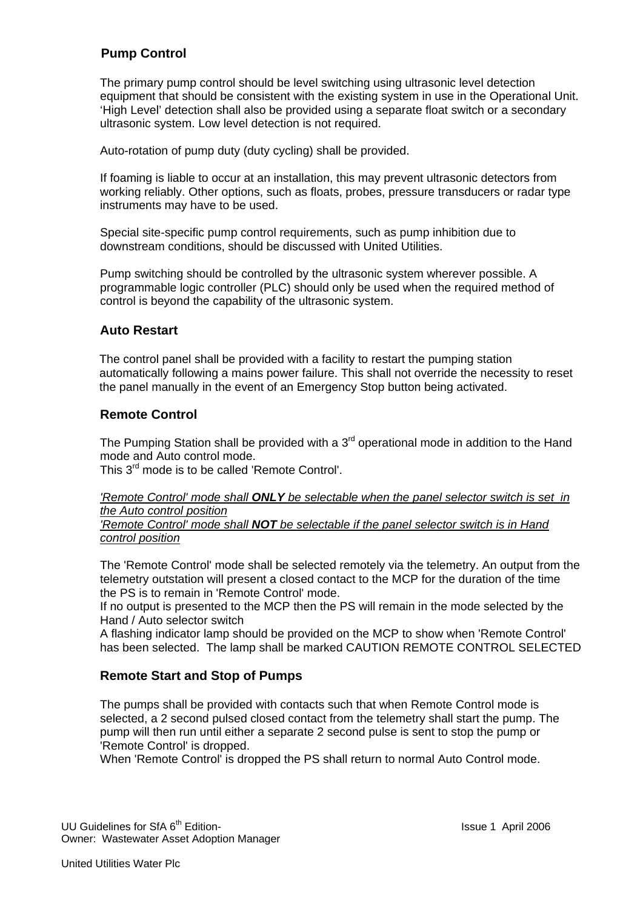# **Pump Control**

The primary pump control should be level switching using ultrasonic level detection equipment that should be consistent with the existing system in use in the Operational Unit. 'High Level' detection shall also be provided using a separate float switch or a secondary ultrasonic system. Low level detection is not required.

Auto-rotation of pump duty (duty cycling) shall be provided.

If foaming is liable to occur at an installation, this may prevent ultrasonic detectors from working reliably. Other options, such as floats, probes, pressure transducers or radar type instruments may have to be used.

Special site-specific pump control requirements, such as pump inhibition due to downstream conditions, should be discussed with United Utilities.

Pump switching should be controlled by the ultrasonic system wherever possible. A programmable logic controller (PLC) should only be used when the required method of control is beyond the capability of the ultrasonic system.

#### **Auto Restart**

The control panel shall be provided with a facility to restart the pumping station automatically following a mains power failure. This shall not override the necessity to reset the panel manually in the event of an Emergency Stop button being activated.

#### **Remote Control**

The Pumping Station shall be provided with a  $3<sup>rd</sup>$  operational mode in addition to the Hand mode and Auto control mode.

This 3<sup>rd</sup> mode is to be called 'Remote Control'.

*'Remote Control' mode shall ONLY be selectable when the panel selector switch is set in the Auto control position* 

*'Remote Control' mode shall NOT be selectable if the panel selector switch is in Hand control position*

The 'Remote Control' mode shall be selected remotely via the telemetry. An output from the telemetry outstation will present a closed contact to the MCP for the duration of the time the PS is to remain in 'Remote Control' mode.

If no output is presented to the MCP then the PS will remain in the mode selected by the Hand / Auto selector switch

A flashing indicator lamp should be provided on the MCP to show when 'Remote Control' has been selected. The lamp shall be marked CAUTION REMOTE CONTROL SELECTED

## **Remote Start and Stop of Pumps**

The pumps shall be provided with contacts such that when Remote Control mode is selected, a 2 second pulsed closed contact from the telemetry shall start the pump. The pump will then run until either a separate 2 second pulse is sent to stop the pump or 'Remote Control' is dropped.

When 'Remote Control' is dropped the PS shall return to normal Auto Control mode.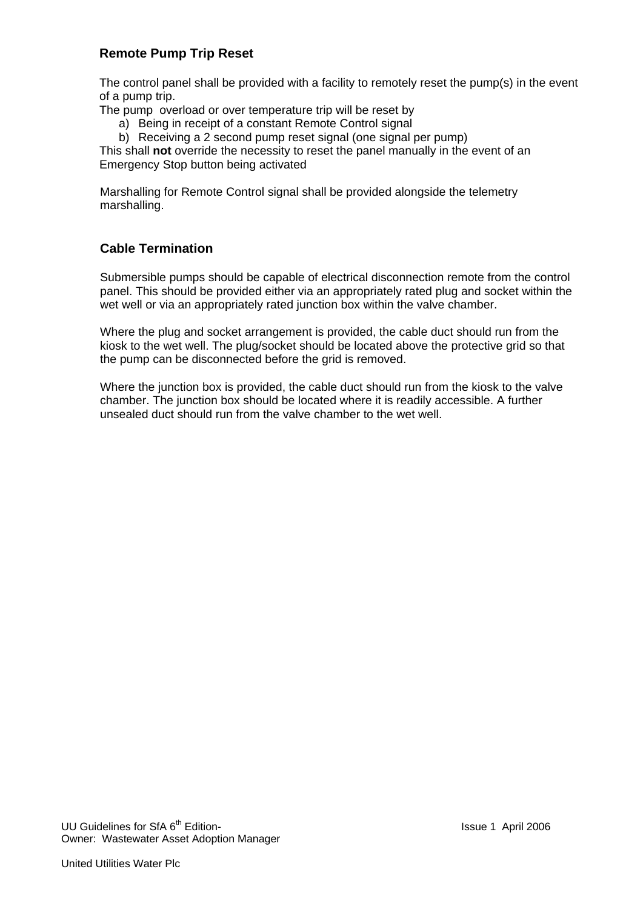## **Remote Pump Trip Reset**

The control panel shall be provided with a facility to remotely reset the pump(s) in the event of a pump trip.

The pump overload or over temperature trip will be reset by

a) Being in receipt of a constant Remote Control signal

b) Receiving a 2 second pump reset signal (one signal per pump)

This shall **not** override the necessity to reset the panel manually in the event of an Emergency Stop button being activated

Marshalling for Remote Control signal shall be provided alongside the telemetry marshalling.

# **Cable Termination**

Submersible pumps should be capable of electrical disconnection remote from the control panel. This should be provided either via an appropriately rated plug and socket within the wet well or via an appropriately rated junction box within the valve chamber.

Where the plug and socket arrangement is provided, the cable duct should run from the kiosk to the wet well. The plug/socket should be located above the protective grid so that the pump can be disconnected before the grid is removed.

Where the junction box is provided, the cable duct should run from the kiosk to the valve chamber. The junction box should be located where it is readily accessible. A further unsealed duct should run from the valve chamber to the wet well.